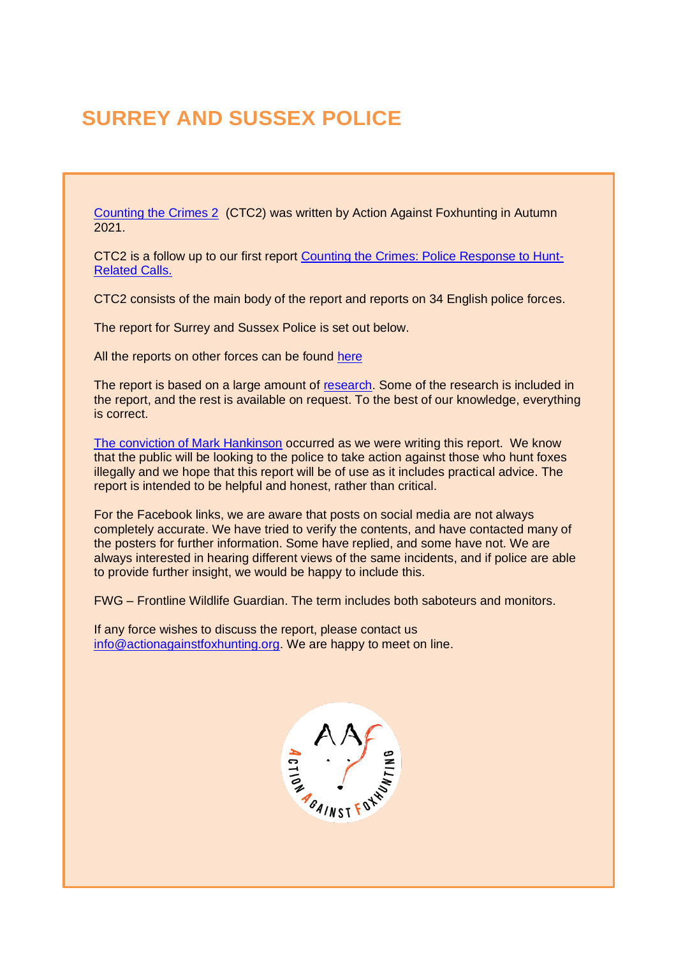# **SURREY AND SUSSEX POLICE**

[Counting the Crimes 2](https://www.actionagainstfoxhunting.org/counting-the-crimes2-the-police-response/) (CTC2) was written by Action Against Foxhunting in Autumn 2021.

CTC2 is a follow up to our first report [Counting the Crimes: Police Response to Hunt-](https://www.actionagainstfoxhunting.org/counting-the-crimes/)[Related Calls.](https://www.actionagainstfoxhunting.org/counting-the-crimes/)

CTC2 consists of the main body of the report and reports on 34 English police forces.

The report for Surrey and Sussex Police is set out below.

All the reports on other forces can be found [here](https://www.actionagainstfoxhunting.org/counting-the-crimes2-the-police-response/)

The report is based on a large amount of [research.](https://www.actionagainstfoxhunting.org/wp-content/uploads/2021/11/A-1411-Research-for-CTC2.pdf) Some of the research is included in the report, and the rest is available on request. To the best of our knowledge, everything is correct.

[The conviction of Mark Hankinson](https://www.league.org.uk/news-and-resources/news/hunting-office-webinars-the-road-to-conviction/) occurred as we were writing this report. We know that the public will be looking to the police to take action against those who hunt foxes illegally and we hope that this report will be of use as it includes practical advice. The report is intended to be helpful and honest, rather than critical.

For the Facebook links, we are aware that posts on social media are not always completely accurate. We have tried to verify the contents, and have contacted many of the posters for further information. Some have replied, and some have not. We are always interested in hearing different views of the same incidents, and if police are able to provide further insight, we would be happy to include this.

FWG – Frontline Wildlife Guardian. The term includes both saboteurs and monitors.

If any force wishes to discuss the report, please contact us [info@actionagainstfoxhunting.org.](mailto:info@actionagainstfoxhunting.org) We are happy to meet on line.

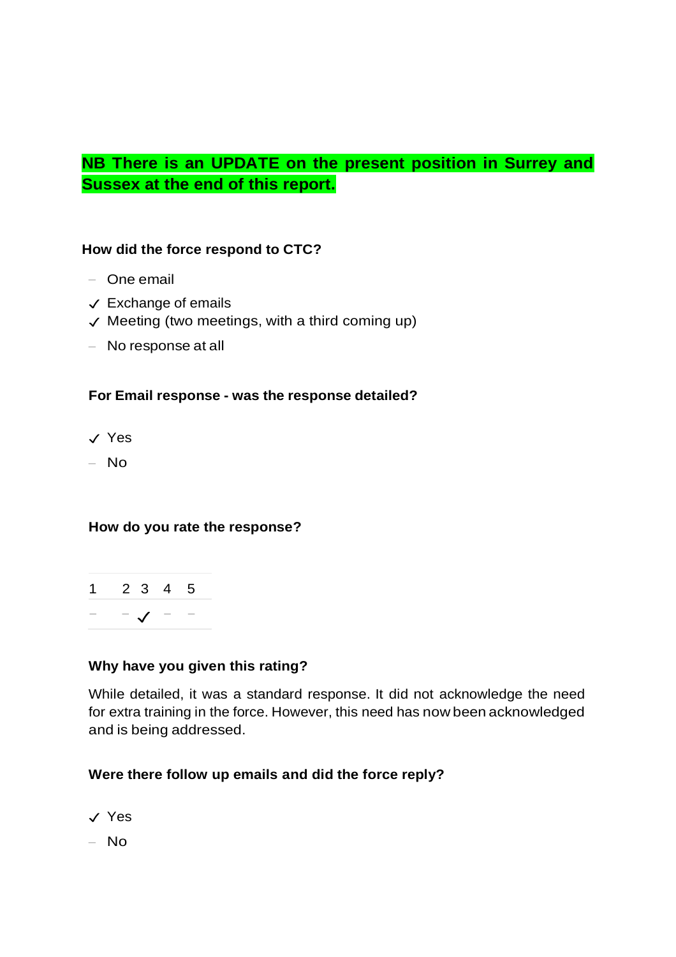## **NB There is an UPDATE on the present position in Surrey and Sussex at the end of this report.**

#### **How did the force respond to CTC?**

- One email
- $\checkmark$  Exchange of emails
- $\checkmark$  Meeting (two meetings, with a third coming up)
- No response at all

#### **For Email response - was the response detailed?**

- ✓ Yes
- No

#### **How do you rate the response?**



#### **Why have you given this rating?**

While detailed, it was a standard response. It did not acknowledge the need for extra training in the force. However, this need has now been acknowledged and is being addressed.

## **Were there follow up emails and did the force reply?**

- ✓ Yes
- No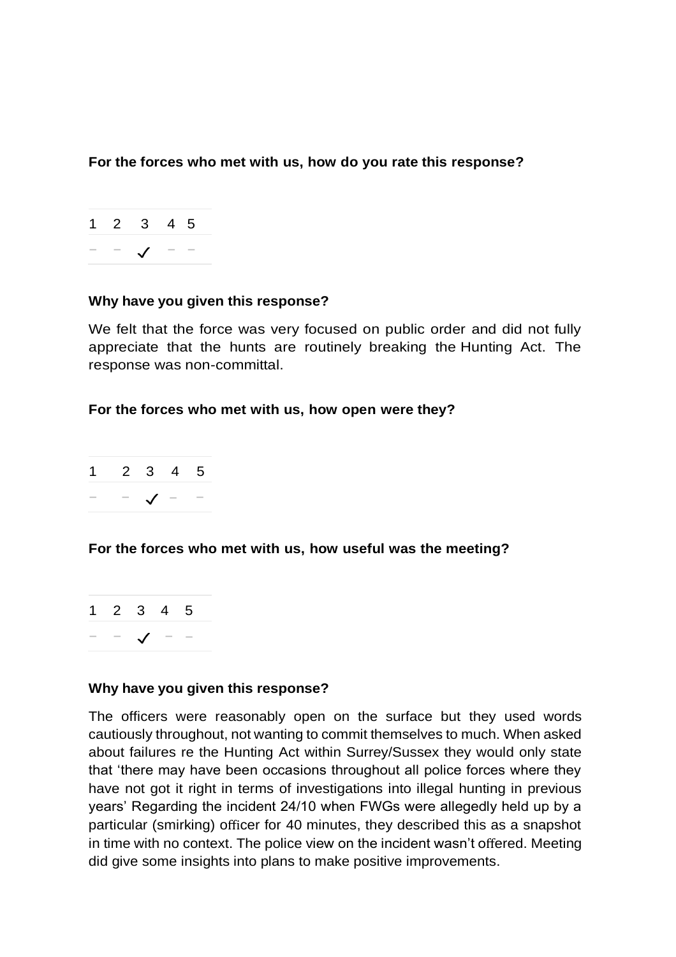**For the forces who met with us, how do you rate this response?**



#### **Why have you given this response?**

We felt that the force was very focused on public order and did not fully appreciate that the hunts are routinely breaking the Hunting Act. The response was non-committal.

#### **For the forces who met with us, how open were they?**



## **For the forces who met with us, how useful was the meeting?**

|  | 1 2 3 4 5 |  |  |
|--|-----------|--|--|
|  |           |  |  |

#### **Why have you given this response?**

The officers were reasonably open on the surface but they used words cautiously throughout, not wanting to commit themselves to much. When asked about failures re the Hunting Act within Surrey/Sussex they would only state that 'there may have been occasions throughout all police forces where they have not got it right in terms of investigations into illegal hunting in previous years' Regarding the incident 24/10 when FWGs were allegedly held up by a particular (smirking) officer for 40 minutes, they described this as a snapshot in time with no context. The police view on the incident wasn't offered. Meeting did give some insights into plans to make positive improvements.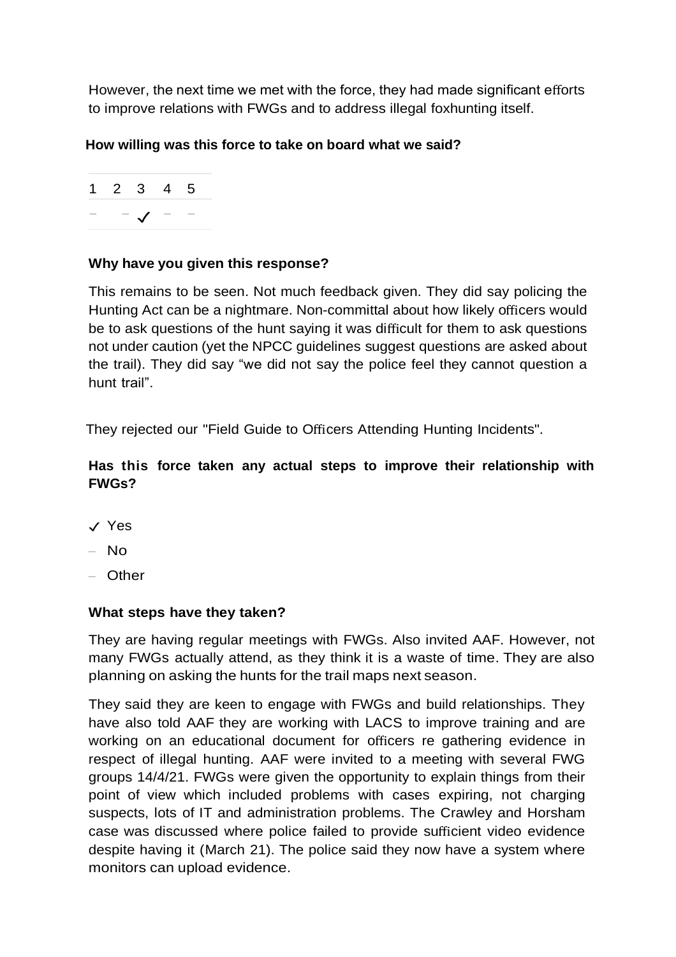However, the next time we met with the force, they had made significant efforts to improve relations with FWGs and to address illegal foxhunting itself.

## **How willing was this force to take on board what we said?**

|  | $1 \t2 \t3 \t4 \t5$ |  |  |
|--|---------------------|--|--|
|  | $ \mathcal{I}$ $-$  |  |  |

## **Why have you given this response?**

This remains to be seen. Not much feedback given. They did say policing the Hunting Act can be a nightmare. Non-committal about how likely officers would be to ask questions of the hunt saying it was difficult for them to ask questions not under caution (yet the NPCC guidelines suggest questions are asked about the trail). They did say "we did not say the police feel they cannot question a hunt trail".

They rejected our "Field Guide to Officers Attending Hunting Incidents".

## **Has this force taken any actual steps to improve their relationship with FWGs?**

- ✓ Yes
- No
- Other

## **What steps have they taken?**

They are having regular meetings with FWGs. Also invited AAF. However, not many FWGs actually attend, as they think it is a waste of time. They are also planning on asking the hunts for the trail maps next season.

They said they are keen to engage with FWGs and build relationships. They have also told AAF they are working with LACS to improve training and are working on an educational document for officers re gathering evidence in respect of illegal hunting. AAF were invited to a meeting with several FWG groups 14/4/21. FWGs were given the opportunity to explain things from their point of view which included problems with cases expiring, not charging suspects, lots of IT and administration problems. The Crawley and Horsham case was discussed where police failed to provide sufficient video evidence despite having it (March 21). The police said they now have a system where monitors can upload evidence.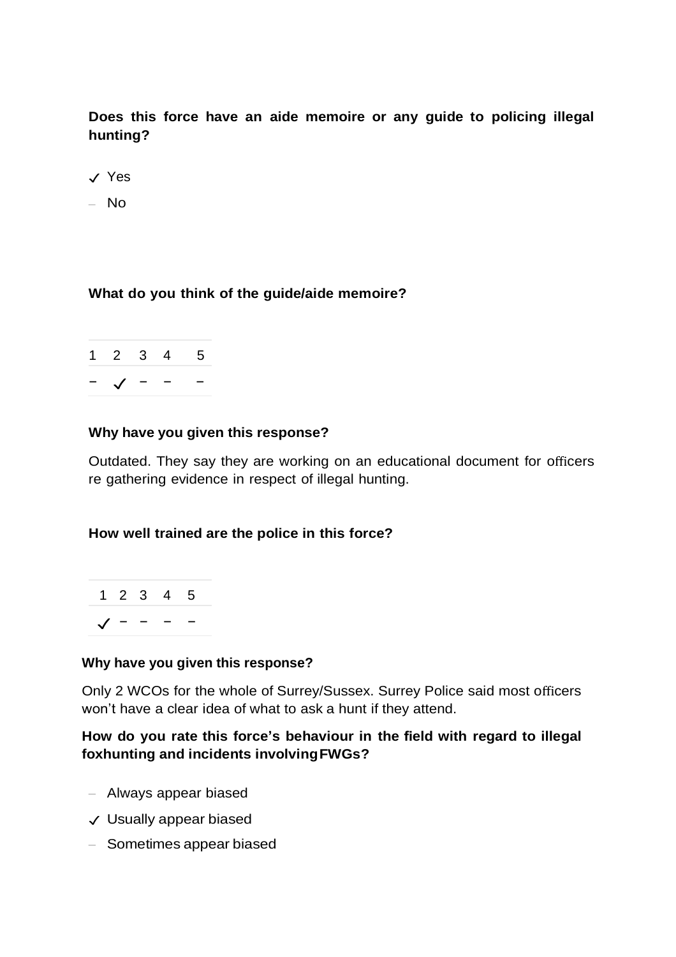**Does this force have an aide memoire or any guide to policing illegal hunting?**

- ✓ Yes
- No

#### **What do you think of the guide/aide memoire?**



#### **Why have you given this response?**

Outdated. They say they are working on an educational document for officers re gathering evidence in respect of illegal hunting.

#### **How well trained are the police in this force?**



#### **Why have you given this response?**

Only 2 WCOs for the whole of Surrey/Sussex. Surrey Police said most officers won't have a clear idea of what to ask a hunt if they attend.

#### **How do you rate this force's behaviour in the field with regard to illegal foxhunting and incidents involvingFWGs?**

- Always appear biased
- ✓ Usually appear biased
- Sometimes appear biased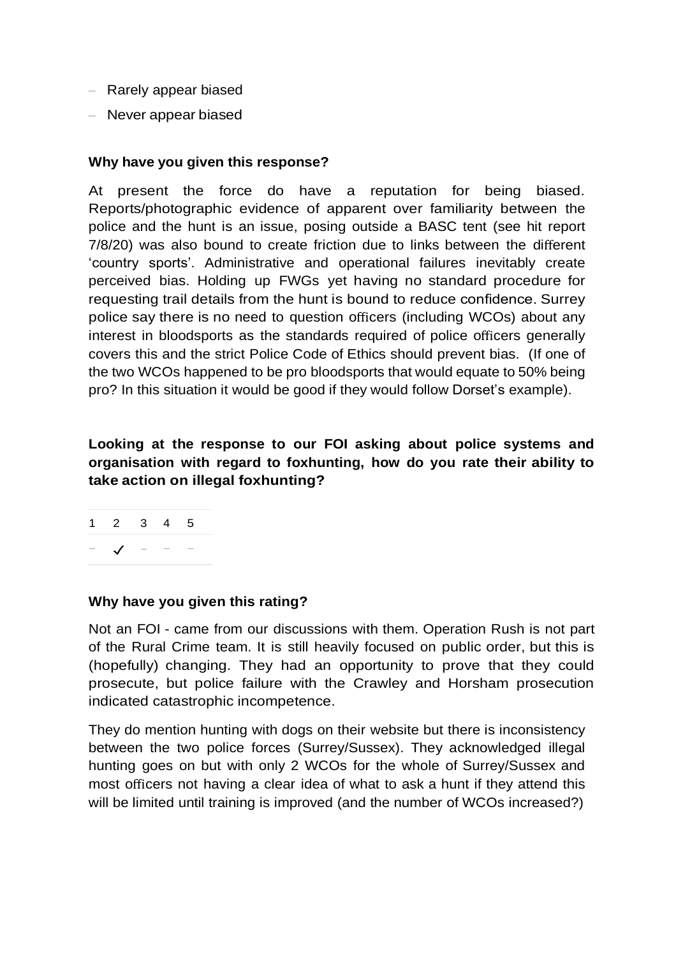- Rarely appear biased
- Never appear biased

#### **Why have you given this response?**

At present the force do have a reputation for being biased. Reports/photographic evidence of apparent over familiarity between the police and the hunt is an issue, posing outside a BASC tent (see hit report 7/8/20) was also bound to create friction due to links between the different 'country sports'. Administrative and operational failures inevitably create perceived bias. Holding up FWGs yet having no standard procedure for requesting trail details from the hunt is bound to reduce confidence. Surrey police say there is no need to question officers (including WCOs) about any interest in bloodsports as the standards required of police officers generally covers this and the strict Police Code of Ethics should prevent bias. (If one of the two WCOs happened to be pro bloodsports that would equate to 50% being pro? In this situation it would be good if they would follow Dorset's example).

**Looking at the response to our FOI asking about police systems and organisation with regard to foxhunting, how do you rate their ability to take action on illegal foxhunting?**

| $1 \quad 2 \quad 3$ | 4 5             |  |
|---------------------|-----------------|--|
|                     | $\qquad \qquad$ |  |

#### **Why have you given this rating?**

Not an FOI - came from our discussions with them. Operation Rush is not part of the Rural Crime team. It is still heavily focused on public order, but this is (hopefully) changing. They had an opportunity to prove that they could prosecute, but police failure with the Crawley and Horsham prosecution indicated catastrophic incompetence.

They do mention hunting with dogs on their website but there is inconsistency between the two police forces (Surrey/Sussex). They acknowledged illegal hunting goes on but with only 2 WCOs for the whole of Surrey/Sussex and most officers not having a clear idea of what to ask a hunt if they attend this will be limited until training is improved (and the number of WCOs increased?)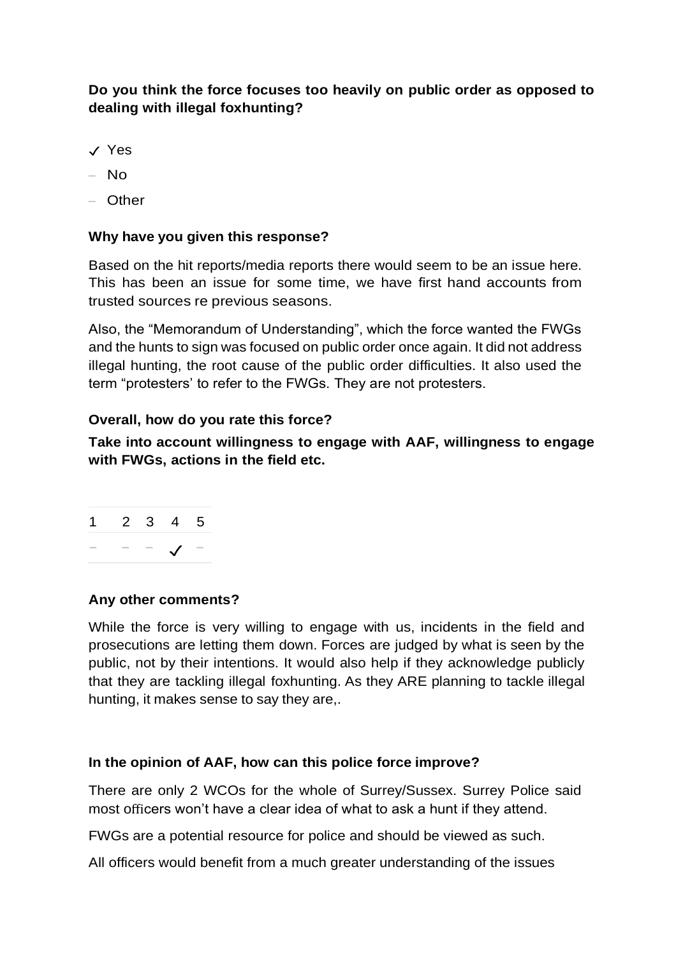## **Do you think the force focuses too heavily on public order as opposed to dealing with illegal foxhunting?**

- ✓ Yes
- No
- Other

### **Why have you given this response?**

Based on the hit reports/media reports there would seem to be an issue here. This has been an issue for some time, we have first hand accounts from trusted sources re previous seasons.

Also, the "Memorandum of Understanding", which the force wanted the FWGs and the hunts to sign was focused on public order once again. It did not address illegal hunting, the root cause of the public order difficulties. It also used the term "protesters' to refer to the FWGs. They are not protesters.

#### **Overall, how do you rate this force?**

**Take into account willingness to engage with AAF, willingness to engage with FWGs, actions in the field etc.**

|  | $1 \quad 2 \quad 3 \quad 4 \quad 5$ |  |
|--|-------------------------------------|--|
|  | $ \checkmark$ -                     |  |

#### **Any other comments?**

While the force is very willing to engage with us, incidents in the field and prosecutions are letting them down. Forces are judged by what is seen by the public, not by their intentions. It would also help if they acknowledge publicly that they are tackling illegal foxhunting. As they ARE planning to tackle illegal hunting, it makes sense to say they are,.

#### **In the opinion of AAF, how can this police force improve?**

There are only 2 WCOs for the whole of Surrey/Sussex. Surrey Police said most officers won't have a clear idea of what to ask a hunt if they attend.

FWGs are a potential resource for police and should be viewed as such.

All officers would benefit from a much greater understanding of the issues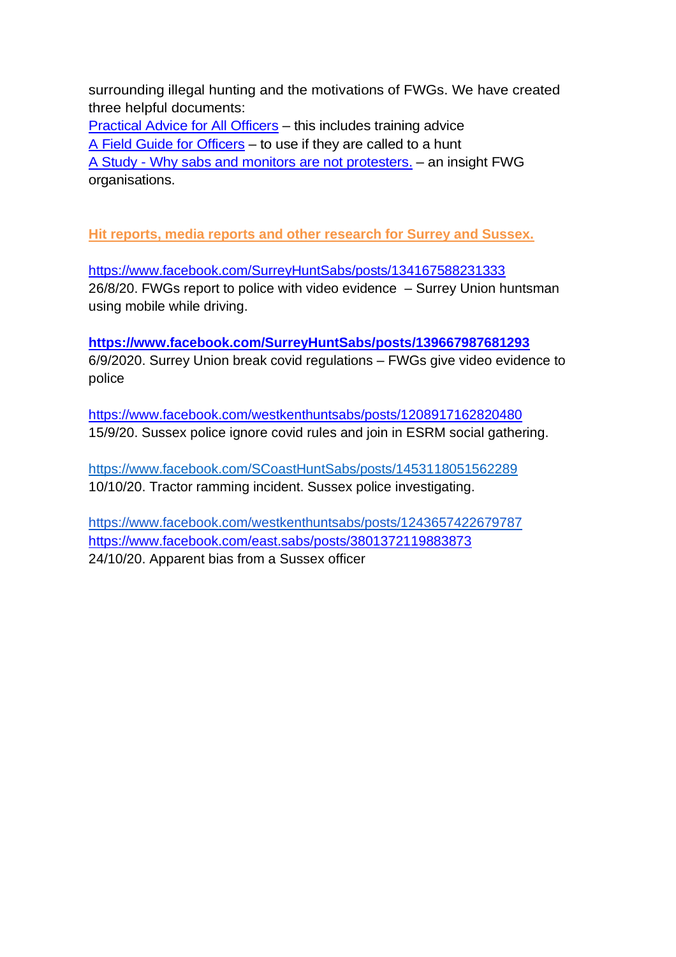surrounding illegal hunting and the motivations of FWGs. We have created three helpful documents:

[Practical Advice for All Officers](https://www.actionagainstfoxhunting.org/wp-content/uploads/2021/11/B-1411-Practical-Advice-for-all-Police-Forces.pdf) – this includes training advice [A Field Guide for Officers](https://www.actionagainstfoxhunting.org/wp-content/uploads/2021/11/A-1411-FIELD-GUIDE-ILLEGAL-FOXHUNTING.pdf) – to use if they are called to a hunt A Study - [Why sabs and monitors are not protesters.](https://www.actionagainstfoxhunting.org/wp-content/uploads/2021/11/A-1411-Why-sabs-and-monitors-arent-protesters.pdf) – an insight FWG organisations.

**Hit reports, media reports and other research for Surrey and Sussex.**

<https://www.facebook.com/SurreyHuntSabs/posts/134167588231333> 26/8/20. FWGs report to police with video evidence – Surrey Union huntsman using mobile while driving.

**<https://www.facebook.com/SurreyHuntSabs/posts/139667987681293>** 6/9/2020. Surrey Union break covid regulations – FWGs give video evidence to police

<https://www.facebook.com/westkenthuntsabs/posts/1208917162820480> 15/9/20. Sussex police ignore covid rules and join in ESRM social gathering.

<https://www.facebook.com/SCoastHuntSabs/posts/1453118051562289> 10/10/20. Tractor ramming incident. Sussex police investigating.

<https://www.facebook.com/westkenthuntsabs/posts/1243657422679787> <https://www.facebook.com/east.sabs/posts/3801372119883873> 24/10/20. Apparent bias from a Sussex officer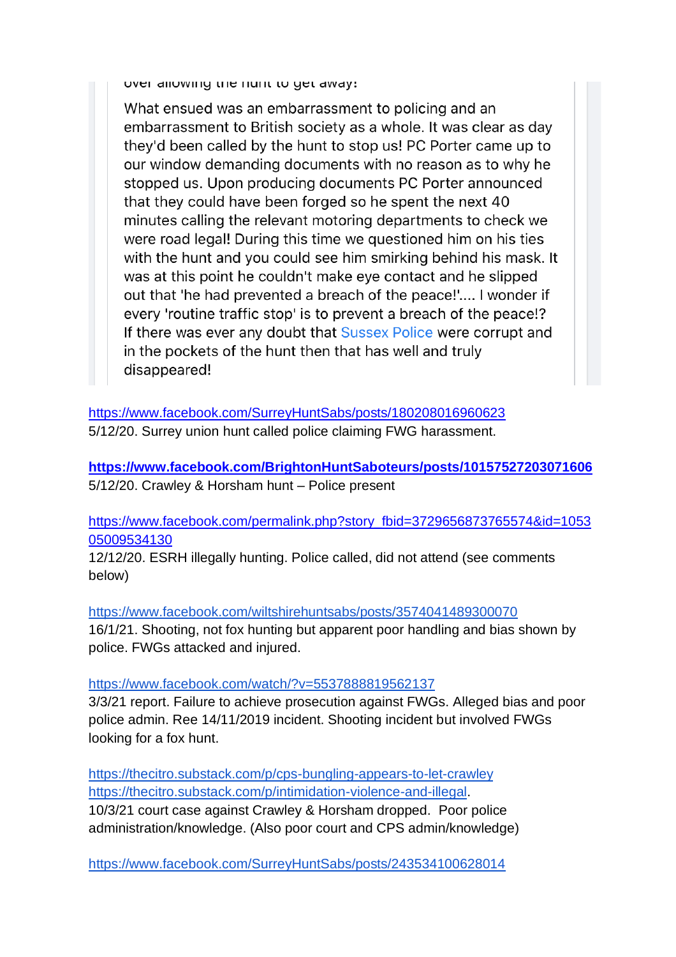over allowing the num to get away:

What ensued was an embarrassment to policing and an embarrassment to British society as a whole. It was clear as day they'd been called by the hunt to stop us! PC Porter came up to our window demanding documents with no reason as to why he stopped us. Upon producing documents PC Porter announced that they could have been forged so he spent the next 40 minutes calling the relevant motoring departments to check we were road legal! During this time we questioned him on his ties with the hunt and you could see him smirking behind his mask. It was at this point he couldn't make eye contact and he slipped out that 'he had prevented a breach of the peace!'.... I wonder if every 'routine traffic stop' is to prevent a breach of the peace!? If there was ever any doubt that Sussex Police were corrupt and in the pockets of the hunt then that has well and truly disappeared!

<https://www.facebook.com/SurreyHuntSabs/posts/180208016960623> 5/12/20. Surrey union hunt called police claiming FWG harassment.

**<https://www.facebook.com/BrightonHuntSaboteurs/posts/10157527203071606>** 5/12/20. Crawley & Horsham hunt – Police present

[https://www.facebook.com/permalink.php?story\\_fbid=3729656873765574&id=1053](https://www.facebook.com/permalink.php?story_fbid=3729656873765574&id=105305009534130) [05009534130](https://www.facebook.com/permalink.php?story_fbid=3729656873765574&id=105305009534130)

12/12/20. ESRH illegally hunting. Police called, did not attend (see comments below)

<https://www.facebook.com/wiltshirehuntsabs/posts/3574041489300070>

16/1/21. Shooting, not fox hunting but apparent poor handling and bias shown by police. FWGs attacked and injured.

<https://www.facebook.com/watch/?v=5537888819562137>

3/3/21 report. Failure to achieve prosecution against FWGs. Alleged bias and poor police admin. Ree 14/11/2019 incident. Shooting incident but involved FWGs looking for a fox hunt.

<https://thecitro.substack.com/p/cps-bungling-appears-to-let-crawley> [https://thecitro.substack.com/p/intimidation-violence-and-illegal.](https://thecitro.substack.com/p/intimidation-violence-and-illegal) 10/3/21 court case against Crawley & Horsham dropped. Poor police administration/knowledge. (Also poor court and CPS admin/knowledge)

<https://www.facebook.com/SurreyHuntSabs/posts/243534100628014>